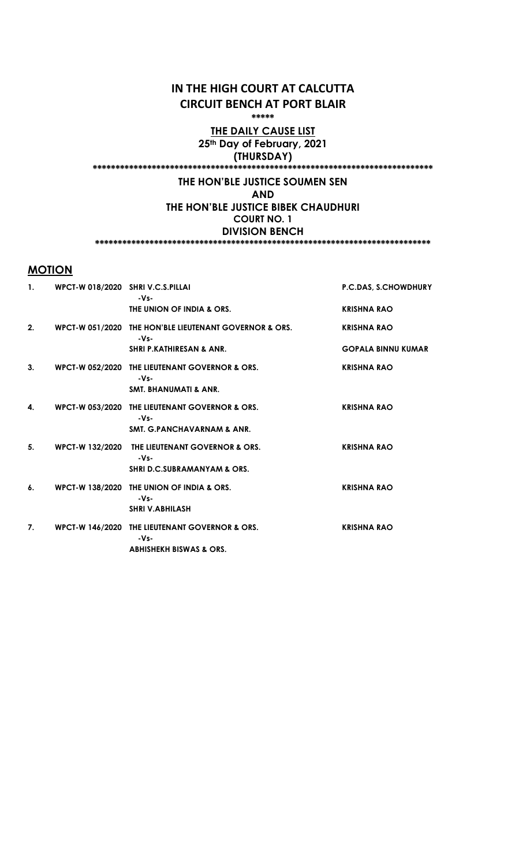# IN THE HIGH COURT AT CALCUTTA CIRCUIT BENCH AT PORT BLAIR

\*\*\*\*\*

### THE DAILY CAUSE LIST 25<sup>th</sup> Day of February, 2021 (THURSDAY)

# \*\*\*\*\*\*\*\*\*\*\*\*\*\*\*\*\*\*\*\*\*\*\*\*\*\*\*\*\*\*\*\*\*\*\*\*\*\*\*\*\*\*\*\*\*\*\*\*\*\*\*\*\*\*\*\*\*\*\*\*\*\*\*\*\*\*\*\*\*\*\*\*\*\*\*

# THE HON'BLE JUSTICE SOUMEN SEN

# AND

THE HON'BLE JUSTICE BIBEK CHAUDHURI COURT NO. 1 DIVISION BENCH

\*\*\*\*\*\*\*\*\*\*\*\*\*\*\*\*\*\*\*\*\*\*\*\*\*\*\*\*\*\*\*\*\*\*\*\*\*\*\*\*\*\*\*\*\*\*\*\*\*\*\*\*\*\*\*\*\*\*\*\*\*\*\*\*\*\*\*\*\*\*\*\*\*\*

# **MOTION**

| $\mathbf{1}$ . | WPCT-W 018/2020 SHRI V.C.S.PILLAI | -Vs-                                                           | P.C.DAS, S.CHOWDHURY      |
|----------------|-----------------------------------|----------------------------------------------------------------|---------------------------|
|                |                                   | THE UNION OF INDIA & ORS.                                      | <b>KRISHNA RAO</b>        |
| 2.             |                                   | WPCT-W 051/2020 THE HON'BLE LIEUTENANT GOVERNOR & ORS.<br>-Vs- | <b>KRISHNA RAO</b>        |
|                |                                   | <b>SHRI P.KATHIRESAN &amp; ANR.</b>                            | <b>GOPALA BINNU KUMAR</b> |
| 3.             |                                   | WPCT-W 052/2020 THE LIEUTENANT GOVERNOR & ORS.<br>-Vs-         | <b>KRISHNA RAO</b>        |
|                |                                   | <b>SMT. BHANUMATI &amp; ANR.</b>                               |                           |
| 4.             |                                   | WPCT-W 053/2020 THE LIEUTENANT GOVERNOR & ORS.<br>-Vs-         | <b>KRISHNA RAO</b>        |
|                |                                   | <b>SMT. G.PANCHAVARNAM &amp; ANR.</b>                          |                           |
| 5.             |                                   | WPCT-W 132/2020 THE LIEUTENANT GOVERNOR & ORS.<br>-Vs-         | <b>KRISHNA RAO</b>        |
|                |                                   | <b>SHRI D.C.SUBRAMANYAM &amp; ORS.</b>                         |                           |
| 6.             |                                   | WPCT-W 138/2020 THE UNION OF INDIA & ORS.<br>-Vs-              | <b>KRISHNA RAO</b>        |
|                |                                   | <b>SHRI V.ABHILASH</b>                                         |                           |
| 7.             |                                   | WPCT-W 146/2020 THE LIEUTENANT GOVERNOR & ORS.<br>$-Vs$        | <b>KRISHNA RAO</b>        |
|                |                                   | <b>ABHISHEKH BISWAS &amp; ORS.</b>                             |                           |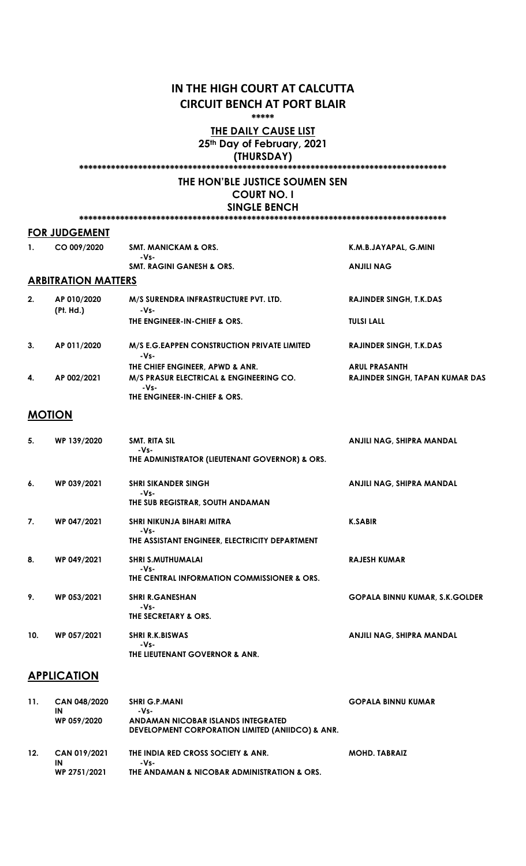# IN THE HIGH COURT AT CALCUTTA CIRCUIT BENCH AT PORT BLAIR

\*\*\*\*\*

#### THE DAILY CAUSE LIST 25<sup>th</sup> Day of February, 2021

(THURSDAY)

### \*\*\*\*\*\*\*\*\*\*\*\*\*\*\*\*\*\*\*\*\*\*\*\*\*\*\*\*\*\*\*\*\*\*\*\*\*\*\*\*\*\*\*\*\*\*\*\*\*\*\*\*\*\*\*\*\*\*\*\*\*\*\*\*\*\*\*\*\*\*\*\*\*\*\*\*\*\*\*\*\*

#### THE HON'BLE JUSTICE SOUMEN SEN COURT NO. I SINGLE BENCH

#### FOR JUDGEMENT

| 1. | CO 009/2020                | <b>SMT. MANICKAM &amp; ORS.</b>                      | K.M.B.JAYAPAL, G.MINI                  |
|----|----------------------------|------------------------------------------------------|----------------------------------------|
|    |                            | -Vs-<br><b>SMT. RAGINI GANESH &amp; ORS.</b>         | <b>ANJILI NAG</b>                      |
|    | <b>ARBITRATION MATTERS</b> |                                                      |                                        |
| 2. | AP 010/2020<br>(Pt. Hd.)   | M/S SURENDRA INFRASTRUCTURE PVT. LTD.<br>-Vs-        | <b>RAJINDER SINGH. T.K.DAS</b>         |
|    |                            | THE ENGINEER-IN-CHIEF & ORS.                         | <b>TULSI LALL</b>                      |
| 3. | AP 011/2020                | M/S E.G. EAPPEN CONSTRUCTION PRIVATE LIMITED<br>-Vs- | <b>RAJINDER SINGH, T.K.DAS</b>         |
|    |                            | THE CHIEF ENGINEER, APWD & ANR.                      | <b>ARUL PRASANTH</b>                   |
| 4. | AP 002/2021                | M/S PRASUR ELECTRICAL & ENGINEERING CO.<br>-Vs-      | <b>RAJINDER SINGH, TAPAN KUMAR DAS</b> |

THE ENGINEER-IN-CHIEF & ORS.

#### MOTION

| 5.  | WP 139/2020 | SMT. RITA SIL<br>-Vs-<br>THE ADMINISTRATOR (LIEUTENANT GOVERNOR) & ORS.             | ANJILI NAG, SHIPRA MANDAL             |
|-----|-------------|-------------------------------------------------------------------------------------|---------------------------------------|
| 6.  | WP 039/2021 | <b>SHRI SIKANDER SINGH</b><br>-Vs-<br>THE SUB REGISTRAR, SOUTH ANDAMAN              | ANJILI NAG, SHIPRA MANDAL             |
| 7.  | WP 047/2021 | SHRI NIKUNJA BIHARI MITRA<br>-Vs-<br>THE ASSISTANT ENGINEER, ELECTRICITY DEPARTMENT | <b>K.SABIR</b>                        |
| 8.  | WP 049/2021 | <b>SHRI S.MUTHUMALAI</b><br>-Vs-<br>THE CENTRAL INFORMATION COMMISSIONER & ORS.     | <b>RAJESH KUMAR</b>                   |
| 9.  | WP 053/2021 | <b>SHRI R.GANESHAN</b><br>-Vs-<br>THE SECRETARY & ORS.                              | <b>GOPALA BINNU KUMAR, S.K.GOLDER</b> |
| 10. | WP 057/2021 | <b>SHRI R.K.BISWAS</b><br>-Vs-<br>THE LIEUTENANT GOVERNOR & ANR.                    | ANJILI NAG, SHIPRA MANDAL             |

# **APPLICATION**

| 11. | CAN 048/2020<br>ΙN | <b>SHRI G.P.MANI</b><br>-Vs-                     | <b>GOPALA BINNU KUMAR</b> |
|-----|--------------------|--------------------------------------------------|---------------------------|
|     | WP 059/2020        | ANDAMAN NICOBAR ISLANDS INTEGRATED               |                           |
|     |                    | DEVELOPMENT CORPORATION LIMITED (ANIIDCO) & ANR. |                           |
| 12. | CAN 019/2021<br>IN | THE INDIA RED CROSS SOCIETY & ANR.<br>-Vs-       | <b>MOHD. TABRAIZ</b>      |
|     | WP 2751/2021       | THE ANDAMAN & NICOBAR ADMINISTRATION & ORS.      |                           |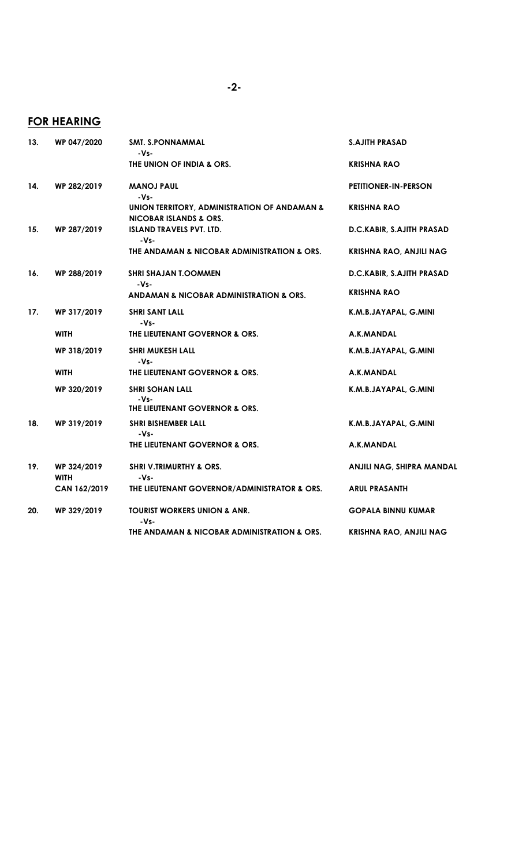# FOR HEARING

| 13. | WP 047/2020                | <b>SMT. S.PONNAMMAL</b><br>-Vs-                                                   | <b>S.AJITH PRASAD</b>            |
|-----|----------------------------|-----------------------------------------------------------------------------------|----------------------------------|
|     |                            | THE UNION OF INDIA & ORS.                                                         | <b>KRISHNA RAO</b>               |
| 14. | WP 282/2019                | <b>MANOJ PAUL</b><br>-Vs-                                                         | <b>PETITIONER-IN-PERSON</b>      |
|     |                            | UNION TERRITORY, ADMINISTRATION OF ANDAMAN &<br><b>NICOBAR ISLANDS &amp; ORS.</b> | <b>KRISHNA RAO</b>               |
| 15. | WP 287/2019                | <b>ISLAND TRAVELS PVT. LTD.</b><br>-Vs-                                           | D.C.KABIR, S.AJITH PRASAD        |
|     |                            | THE ANDAMAN & NICOBAR ADMINISTRATION & ORS.                                       | <b>KRISHNA RAO, ANJILI NAG</b>   |
| 16. | WP 288/2019                | <b>SHRI SHAJAN T.OOMMEN</b><br>-Vs-                                               | D.C.KABIR, S.AJITH PRASAD        |
|     |                            | ANDAMAN & NICOBAR ADMINISTRATION & ORS.                                           | <b>KRISHNA RAO</b>               |
| 17. | WP 317/2019                | <b>SHRI SANT LALL</b><br>-Vs-                                                     | K.M.B.JAYAPAL, G.MINI            |
|     | <b>WITH</b>                | THE LIEUTENANT GOVERNOR & ORS.                                                    | A.K.MANDAL                       |
|     | WP 318/2019                | <b>SHRI MUKESH LALL</b><br>-Vs-                                                   | K.M.B.JAYAPAL, G.MINI            |
|     | <b>WITH</b>                | THE LIEUTENANT GOVERNOR & ORS.                                                    | A.K.MANDAL                       |
|     | WP 320/2019                | <b>SHRI SOHAN LALL</b><br>$-Vs-$<br>THE LIEUTENANT GOVERNOR & ORS.                | K.M.B.JAYAPAL, G.MINI            |
| 18. | WP 319/2019                | <b>SHRI BISHEMBER LALL</b><br>-Vs-                                                | K.M.B.JAYAPAL, G.MINI            |
|     |                            | THE LIEUTENANT GOVERNOR & ORS.                                                    | A.K.MANDAL                       |
| 19. | WP 324/2019<br><b>WITH</b> | <b>SHRI V.TRIMURTHY &amp; ORS.</b><br>-Vs-                                        | <b>ANJILI NAG, SHIPRA MANDAL</b> |
|     | CAN 162/2019               | THE LIEUTENANT GOVERNOR/ADMINISTRATOR & ORS.                                      | <b>ARUL PRASANTH</b>             |
| 20. | WP 329/2019                | <b>TOURIST WORKERS UNION &amp; ANR.</b><br>-Vs-                                   | <b>GOPALA BINNU KUMAR</b>        |
|     |                            | THE ANDAMAN & NICOBAR ADMINISTRATION & ORS.                                       | <b>KRISHNA RAO, ANJILI NAG</b>   |